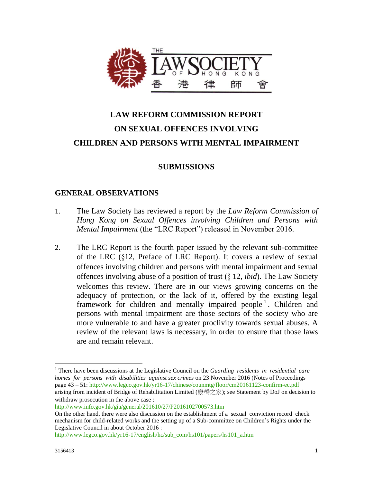

# **LAW REFORM COMMISSION REPORT ON SEXUAL OFFENCES INVOLVING CHILDREN AND PERSONS WITH MENTAL IMPAIRMENT**

# **SUBMISSIONS**

#### **GENERAL OBSERVATIONS**

- 1. The Law Society has reviewed a report by the *Law Reform Commission of Hong Kong on Sexual Offences involving Children and Persons with Mental Impairment* (the "LRC Report") released in November 2016.
- 2. The LRC Report is the fourth paper issued by the relevant sub-committee of the LRC (§12, Preface of LRC Report). It covers a review of sexual offences involving children and persons with mental impairment and sexual offences involving abuse of a position of trust (§ 12, *ibid*). The Law Society welcomes this review. There are in our views growing concerns on the adequacy of protection, or the lack of it, offered by the existing legal framework for children and mentally impaired people<sup>1</sup>. Children and persons with mental impairment are those sectors of the society who are more vulnerable to and have a greater proclivity towards sexual abuses. A review of the relevant laws is necessary, in order to ensure that those laws are and remain relevant.

<http://www.info.gov.hk/gia/general/201610/27/P2016102700573.htm>

[http://www.legco.gov.hk/yr16-17/english/hc/sub\\_com/hs101/papers/hs101\\_a.htm](http://www.legco.gov.hk/yr16-17/english/hc/sub_com/hs101/papers/hs101_a.htm) 

 $\overline{a}$ 

<sup>1</sup> There have been discussions at the Legislative Council on the *Guarding residents in residential care homes for persons with disabilities against sex crimes* on 23 November 2016 (Notes of Proceedings page 43 – 51[: http://www.legco.gov.hk/yr16-17/chinese/counmtg/floor/cm20161123-confirm-ec.pdf](http://www.legco.gov.hk/yr16-17/chinese/counmtg/floor/cm20161123-confirm-ec.pdf)  arising from incident of Bridge of Rehabilitation Limited (康橋之家); see Statement by DoJ on decision to withdraw prosecution in the above case :

On the other hand, there were also discussion on the establishment of a sexual conviction record check mechanism for child-related works and the setting up of a Sub-committee on Children's Rights under the Legislative Council in about October 2016 :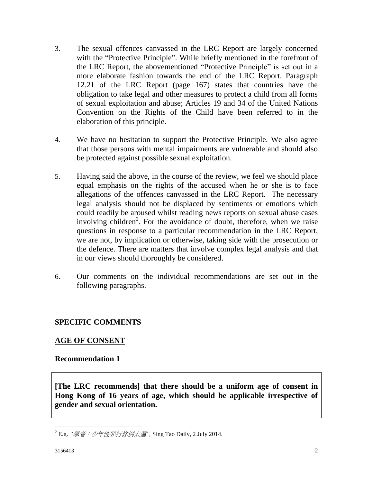- 3. The sexual offences canvassed in the LRC Report are largely concerned with the "Protective Principle". While briefly mentioned in the forefront of the LRC Report, the abovementioned "Protective Principle" is set out in a more elaborate fashion towards the end of the LRC Report. Paragraph 12.21 of the LRC Report (page 167) states that countries have the obligation to take legal and other measures to protect a child from all forms of sexual exploitation and abuse; Articles 19 and 34 of the United Nations Convention on the Rights of the Child have been referred to in the elaboration of this principle.
- 4. We have no hesitation to support the Protective Principle. We also agree that those persons with mental impairments are vulnerable and should also be protected against possible sexual exploitation.
- 5. Having said the above, in the course of the review, we feel we should place equal emphasis on the rights of the accused when he or she is to face allegations of the offences canvassed in the LRC Report. The necessary legal analysis should not be displaced by sentiments or emotions which could readily be aroused whilst reading news reports on sexual abuse cases involving children<sup>2</sup>. For the avoidance of doubt, therefore, when we raise questions in response to a particular recommendation in the LRC Report, we are not, by implication or otherwise, taking side with the prosecution or the defence. There are matters that involve complex legal analysis and that in our views should thoroughly be considered.
- 6. Our comments on the individual recommendations are set out in the following paragraphs.

# **SPECIFIC COMMENTS**

# **AGE OF CONSENT**

#### **Recommendation 1**

**[The LRC recommends] that there should be a uniform age of consent in Hong Kong of 16 years of age, which should be applicable irrespective of gender and sexual orientation.**

 $\overline{a}$ <sup>2</sup> E.g. *"*[學者:少年性罪行修例太遲](https://hk.news.yahoo.com/%E5%AD%B8%E8%80%85-%E5%B0%91%E5%B9%B4%E6%80%A7%E7%BD%AA%E8%A1%8C%E4%BF%AE%E4%BE%8B%E5%A4%AA%E9%81%B2-215757016.html)*",* Sing Tao Daily, 2 July 2014.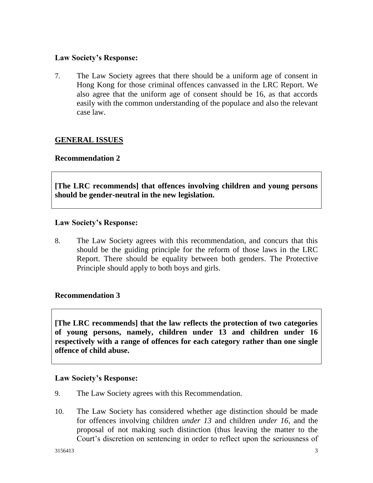## **Law Society's Response:**

7. The Law Society agrees that there should be a uniform age of consent in Hong Kong for those criminal offences canvassed in the LRC Report. We also agree that the uniform age of consent should be 16, as that accords easily with the common understanding of the populace and also the relevant case law.

# **GENERAL ISSUES**

#### **Recommendation 2**

**[The LRC recommends] that offences involving children and young persons should be gender-neutral in the new legislation.**

#### **Law Society's Response:**

8. The Law Society agrees with this recommendation, and concurs that this should be the guiding principle for the reform of those laws in the LRC Report. There should be equality between both genders. The Protective Principle should apply to both boys and girls.

#### **Recommendation 3**

**[The LRC recommends] that the law reflects the protection of two categories of young persons, namely, children under 13 and children under 16 respectively with a range of offences for each category rather than one single offence of child abuse.**

#### **Law Society's Response:**

- 9. The Law Society agrees with this Recommendation.
- 10. The Law Society has considered whether age distinction should be made for offences involving children *under 13* and children *under 16*, and the proposal of not making such distinction (thus leaving the matter to the Court's discretion on sentencing in order to reflect upon the seriousness of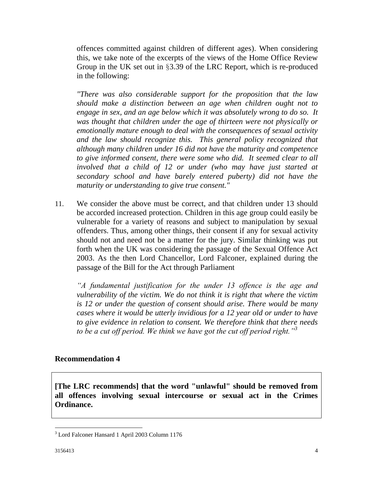offences committed against children of different ages). When considering this, we take note of the excerpts of the views of the Home Office Review Group in the UK set out in §3.39 of the LRC Report, which is re-produced in the following:

*"There was also considerable support for the proposition that the law should make a distinction between an age when children ought not to engage in sex, and an age below which it was absolutely wrong to do so. It was thought that children under the age of thirteen were not physically or emotionally mature enough to deal with the consequences of sexual activity and the law should recognize this. This general policy recognized that although many children under 16 did not have the maturity and competence*  to give informed consent, there were some who did. It seemed clear to all *involved that a child of 12 or under (who may have just started at secondary school and have barely entered puberty) did not have the maturity or understanding to give true consent."*

11. We consider the above must be correct, and that children under 13 should be accorded increased protection. Children in this age group could easily be vulnerable for a variety of reasons and subject to manipulation by sexual offenders. Thus, among other things, their consent if any for sexual activity should not and need not be a matter for the jury. Similar thinking was put forth when the UK was considering the passage of the Sexual Offence Act 2003. As the then Lord Chancellor, Lord Falconer, explained during the passage of the Bill for the Act through Parliament

*"A fundamental justification for the under 13 offence is the age and vulnerability of the victim. We do not think it is right that where the victim is 12 or under the question of consent should arise. There would be many cases where it would be utterly invidious for a 12 year old or under to have to give evidence in relation to consent. We therefore think that there needs to be a cut off period. We think we have got the cut off period right."<sup>3</sup>*

#### **Recommendation 4**

**[The LRC recommends] that the word "unlawful" should be removed from all offences involving sexual intercourse or sexual act in the Crimes Ordinance.**

 $\overline{a}$ 

<sup>3</sup> Lord Falconer Hansard 1 April 2003 Column 1176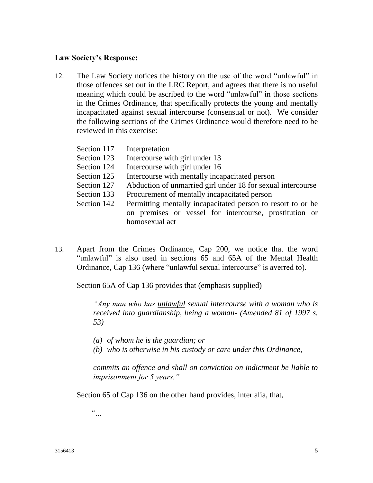#### **Law Society's Response:**

12. The Law Society notices the history on the use of the word "unlawful" in those offences set out in the LRC Report, and agrees that there is no useful meaning which could be ascribed to the word "unlawful" in those sections in the Crimes Ordinance, that specifically protects the young and mentally incapacitated against sexual intercourse (consensual or not). We consider the following sections of the Crimes Ordinance would therefore need to be reviewed in this exercise:

| Section 117 | Interpretation                                              |
|-------------|-------------------------------------------------------------|
| Section 123 | Intercourse with girl under 13                              |
| Section 124 | Intercourse with girl under 16                              |
| Section 125 | Intercourse with mentally incapacitated person              |
| Section 127 | Abduction of unmarried girl under 18 for sexual intercourse |
| Section 133 | Procurement of mentally incapacitated person                |
| Section 142 | Permitting mentally incapacitated person to resort to or be |
|             | on premises or vessel for intercourse, prostitution or      |
|             | homosexual act                                              |

13. Apart from the Crimes Ordinance, Cap 200, we notice that the word "unlawful" is also used in sections 65 and 65A of the Mental Health Ordinance, Cap 136 (where "unlawful sexual intercourse" is averred to).

Section 65A of Cap 136 provides that (emphasis supplied)

*"Any man who has unlawful sexual intercourse with a woman who is received into guardianship, being a woman- (Amended 81 of 1997 s. 53)* 

- *(a) of whom he is the guardian; or*
- *(b) who is otherwise in his custody or care under this Ordinance,*

*commits an offence and shall on conviction on indictment be liable to imprisonment for 5 years."*

Section 65 of Cap 136 on the other hand provides, inter alia, that,

*"…*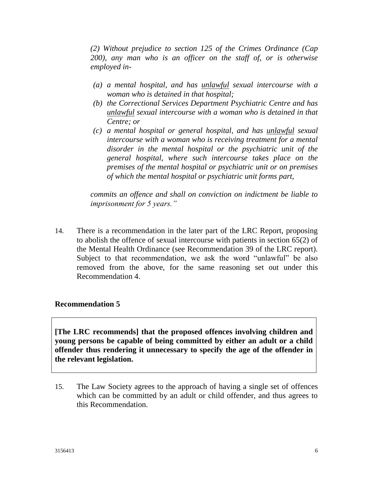*(2) Without prejudice to section 125 of the Crimes Ordinance (Cap 200), any man who is an officer on the staff of, or is otherwise employed in-*

- *(a) a mental hospital, and has unlawful sexual intercourse with a woman who is detained in that hospital;*
- *(b) the Correctional Services Department Psychiatric Centre and has unlawful sexual intercourse with a woman who is detained in that Centre; or*
- *(c) a mental hospital or general hospital, and has unlawful sexual intercourse with a woman who is receiving treatment for a mental disorder in the mental hospital or the psychiatric unit of the general hospital, where such intercourse takes place on the premises of the mental hospital or psychiatric unit or on premises of which the mental hospital or psychiatric unit forms part,*

*commits an offence and shall on conviction on indictment be liable to imprisonment for 5 years."*

14. There is a recommendation in the later part of the LRC Report, proposing to abolish the offence of sexual intercourse with patients in section 65(2) of the Mental Health Ordinance (see Recommendation 39 of the LRC report). Subject to that recommendation, we ask the word "unlawful" be also removed from the above, for the same reasoning set out under this Recommendation 4.

#### **Recommendation 5**

**[The LRC recommends] that the proposed offences involving children and young persons be capable of being committed by either an adult or a child offender thus rendering it unnecessary to specify the age of the offender in the relevant legislation.**

15. The Law Society agrees to the approach of having a single set of offences which can be committed by an adult or child offender, and thus agrees to this Recommendation.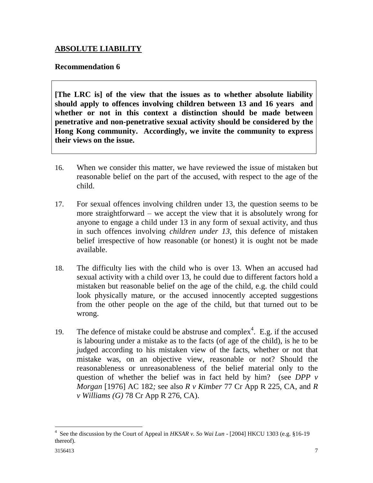# **ABSOLUTE LIABILITY**

## **Recommendation 6**

**[The LRC is] of the view that the issues as to whether absolute liability should apply to offences involving children between 13 and 16 years and whether or not in this context a distinction should be made between penetrative and non-penetrative sexual activity should be considered by the Hong Kong community. Accordingly, we invite the community to express their views on the issue.**

- 16. When we consider this matter, we have reviewed the issue of mistaken but reasonable belief on the part of the accused, with respect to the age of the child.
- 17. For sexual offences involving children under 13, the question seems to be more straightforward – we accept the view that it is absolutely wrong for anyone to engage a child under 13 in any form of sexual activity, and thus in such offences involving *children under 13*, this defence of mistaken belief irrespective of how reasonable (or honest) it is ought not be made available.
- 18. The difficulty lies with the child who is over 13. When an accused had sexual activity with a child over 13, he could due to different factors hold a mistaken but reasonable belief on the age of the child, e.g. the child could look physically mature, or the accused innocently accepted suggestions from the other people on the age of the child, but that turned out to be wrong.
- 19. The defence of mistake could be abstruse and complex<sup>4</sup>. E.g. if the accused is labouring under a mistake as to the facts (of age of the child), is he to be judged according to his mistaken view of the facts, whether or not that mistake was, on an objective view, reasonable or not? Should the reasonableness or unreasonableness of the belief material only to the question of whether the belief was in fact held by him? (see *[DPP v](https://login.westlawasia.com/maf/app/document?src=doc&maintain-toc-node=true&linktype=ref&&context=&crumb-action=replace&docguid=I9AFE5E70E42711DA8FC2A0F0355337E9)  Morgan* [\[1976\] AC 182](https://login.westlawasia.com/maf/app/document?src=doc&maintain-toc-node=true&linktype=ref&&context=&crumb-action=replace&docguid=I9AFE5E70E42711DA8FC2A0F0355337E9)*;* see also *R v Kimber* 77 Cr App R 225, CA, and *R v Williams (G)* 78 Cr App R 276, CA).

 4 See the discussion by the Court of Appeal in *HKSAR v. So Wai Lun* - [2004] HKCU 1303 (e.g. §16-19 thereof).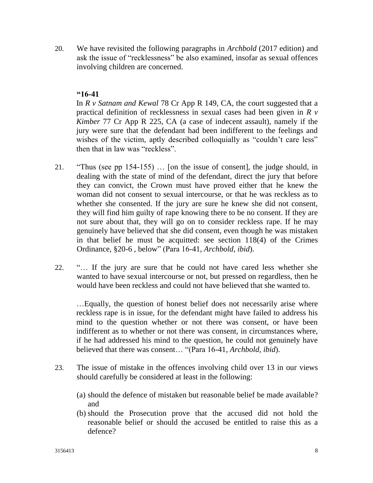20. We have revisited the following paragraphs in *Archbold* (2017 edition) and ask the issue of "recklessness" be also examined, insofar as sexual offences involving children are concerned.

# **"16-41**

In *R v Satnam and Kewal* 78 Cr App R 149, CA, the court suggested that a practical definition of recklessness in sexual cases had been given in *R v Kimber* 77 Cr App R 225, CA (a case of indecent assault), namely if the jury were sure that the defendant had been indifferent to the feelings and wishes of the victim, aptly described colloquially as "couldn't care less" then that in law was "reckless".

- 21. "Thus (see pp 154-155) … [on the issue of consent], the judge should, in dealing with the state of mind of the defendant, direct the jury that before they can convict, the Crown must have proved either that he knew the woman did not consent to sexual intercourse, or that he was reckless as to whether she consented. If the jury are sure he knew she did not consent, they will find him guilty of rape knowing there to be no consent. If they are not sure about that, they will go on to consider reckless rape. If he may genuinely have believed that she did consent, even though he was mistaken in that belief he must be acquitted: see section [118\(4\)](https://login.westlawasia.com/maf/app/document?src=doc&maintain-toc-node=true&linktype=ref&&context=&crumb-action=replace&docguid=I837609F540054947BB5B38592F449373) of the Crimes Ordinance, [§20-6 ,](https://login.westlawasia.com/maf/app/document?src=doc&maintain-toc-node=true&linktype=ref&&context=&crumb-action=replace&docguid=IA7038F7D9E374A6B9FD7DBD7EABF89B4#archboldHK2017-20-6) below" (Para 16-41, *Archbold, ibid*).
- 22. "… If the jury are sure that he could not have cared less whether she wanted to have sexual intercourse or not, but pressed on regardless, then he would have been reckless and could not have believed that she wanted to.

…Equally, the question of honest belief does not necessarily arise where reckless rape is in issue, for the defendant might have failed to address his mind to the question whether or not there was consent, or have been indifferent as to whether or not there was consent, in circumstances where, if he had addressed his mind to the question, he could not genuinely have believed that there was consent… "(Para 16-41, *Archbold, ibid*).

- 23. The issue of mistake in the offences involving child over 13 in our views should carefully be considered at least in the following:
	- (a) should the defence of mistaken but reasonable belief be made available? and
	- (b) should the Prosecution prove that the accused did not hold the reasonable belief or should the accused be entitled to raise this as a defence?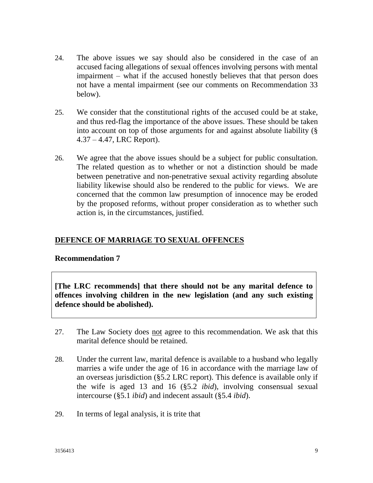- 24. The above issues we say should also be considered in the case of an accused facing allegations of sexual offences involving persons with mental impairment – what if the accused honestly believes that that person does not have a mental impairment (see our comments on Recommendation 33 below).
- 25. We consider that the constitutional rights of the accused could be at stake, and thus red-flag the importance of the above issues. These should be taken into account on top of those arguments for and against absolute liability (§ 4.37 – 4.47, LRC Report).
- 26. We agree that the above issues should be a subject for public consultation. The related question as to whether or not a distinction should be made between penetrative and non-penetrative sexual activity regarding absolute liability likewise should also be rendered to the public for views. We are concerned that the common law presumption of innocence may be eroded by the proposed reforms, without proper consideration as to whether such action is, in the circumstances, justified.

# **DEFENCE OF MARRIAGE TO SEXUAL OFFENCES**

# **Recommendation 7**

**[The LRC recommends] that there should not be any marital defence to offences involving children in the new legislation (and any such existing defence should be abolished).**

- 27. The Law Society does not agree to this recommendation. We ask that this marital defence should be retained.
- 28. Under the current law, marital defence is available to a husband who legally marries a wife under the age of 16 in accordance with the marriage law of an overseas jurisdiction (§5.2 LRC report). This defence is available only if the wife is aged 13 and 16 (§5.2 *ibid*), involving consensual sexual intercourse (§5.1 *ibid*) and indecent assault (§5.4 *ibid*).
- 29. In terms of legal analysis, it is trite that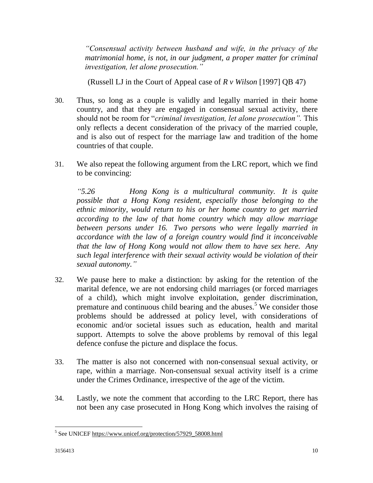*"Consensual activity between husband and wife, in the privacy of the matrimonial home, is not, in our judgment, a proper matter for criminal investigation, let alone prosecution."*

(Russell LJ in the Court of Appeal case of *R v Wilson* [\[1997\] QB 47\)](http://cases.iclr.co.uk/index/gateway.aspx?f=pubref&ref=%5b1997%5d%20QB%2047&nxtid=XQB1997-1-47&t=document-frameset.htm)

- 30. Thus, so long as a couple is validly and legally married in their home country, and that they are engaged in consensual sexual activity, there should not be room for "*criminal investigation, let alone prosecution".* This only reflects a decent consideration of the privacy of the married couple, and is also out of respect for the marriage law and tradition of the home countries of that couple.
- 31. We also repeat the following argument from the LRC report, which we find to be convincing:

*"5.26 Hong Kong is a multicultural community. It is quite possible that a Hong Kong resident, especially those belonging to the ethnic minority, would return to his or her home country to get married according to the law of that home country which may allow marriage between persons under 16. Two persons who were legally married in accordance with the law of a foreign country would find it inconceivable that the law of Hong Kong would not allow them to have sex here. Any such legal interference with their sexual activity would be violation of their sexual autonomy."*

- 32. We pause here to make a distinction: by asking for the retention of the marital defence, we are not endorsing child marriages (or forced marriages of a child), which might involve exploitation, gender discrimination, premature and continuous child bearing and the abuses.<sup>5</sup> We consider those problems should be addressed at policy level, with considerations of economic and/or societal issues such as education, health and marital support. Attempts to solve the above problems by removal of this legal defence confuse the picture and displace the focus.
- 33. The matter is also not concerned with non-consensual sexual activity, or rape, within a marriage. Non-consensual sexual activity itself is a crime under the Crimes Ordinance, irrespective of the age of the victim.
- 34. Lastly, we note the comment that according to the LRC Report, there has not been any case prosecuted in Hong Kong which involves the raising of

 $\overline{a}$ <sup>5</sup> See UNICEF https://www.unicef.org/protection/57929\_58008.html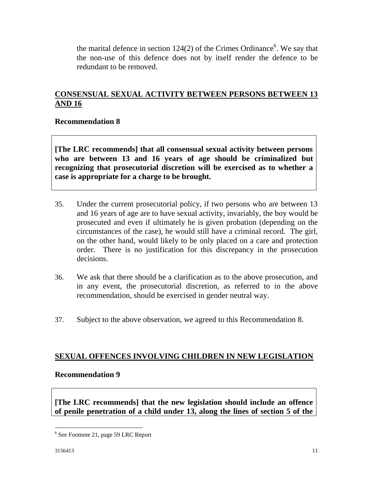the marital defence in section  $124(2)$  of the Crimes Ordinance<sup>6</sup>. We say that the non-use of this defence does not by itself render the defence to be redundant to be removed.

# **CONSENSUAL SEXUAL ACTIVITY BETWEEN PERSONS BETWEEN 13 AND 16**

# **Recommendation 8**

**[The LRC recommends] that all consensual sexual activity between persons who are between 13 and 16 years of age should be criminalized but recognizing that prosecutorial discretion will be exercised as to whether a case is appropriate for a charge to be brought.**

- 35. Under the current prosecutorial policy, if two persons who are between 13 and 16 years of age are to have sexual activity, invariably, the boy would be prosecuted and even if ultimately he is given probation (depending on the circumstances of the case), he would still have a criminal record. The girl, on the other hand, would likely to be only placed on a care and protection order. There is no justification for this discrepancy in the prosecution decisions.
- 36. We ask that there should be a clarification as to the above prosecution, and in any event, the prosecutorial discretion, as referred to in the above recommendation, should be exercised in gender neutral way.
- 37. Subject to the above observation, we agreed to this Recommendation 8.

# **SEXUAL OFFENCES INVOLVING CHILDREN IN NEW LEGISLATION**

#### **Recommendation 9**

**[The LRC recommends] that the new legislation should include an offence of penile penetration of a child under 13, along the lines of section 5 of the** 

 $\overline{a}$ 

<sup>&</sup>lt;sup>6</sup> See Footnote 21, page 59 LRC Report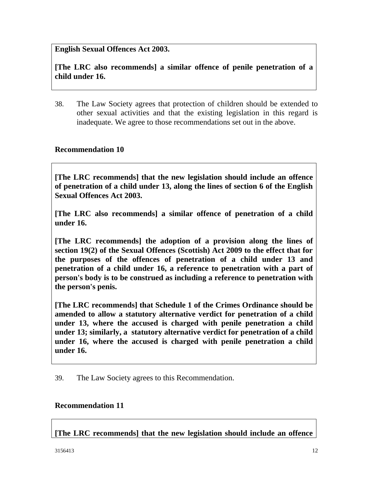# **English Sexual Offences Act 2003.**

**[The LRC also recommends] a similar offence of penile penetration of a child under 16.**

38. The Law Society agrees that protection of children should be extended to other sexual activities and that the existing legislation in this regard is inadequate. We agree to those recommendations set out in the above.

#### **Recommendation 10**

**[The LRC recommends] that the new legislation should include an offence of penetration of a child under 13, along the lines of section 6 of the English Sexual Offences Act 2003.**

**[The LRC also recommends] a similar offence of penetration of a child under 16.**

**[The LRC recommends] the adoption of a provision along the lines of section 19(2) of the Sexual Offences (Scottish) Act 2009 to the effect that for the purposes of the offences of penetration of a child under 13 and penetration of a child under 16, a reference to penetration with a part of person's body is to be construed as including a reference to penetration with the person's penis.**

**[The LRC recommends] that Schedule 1 of the Crimes Ordinance should be amended to allow a statutory alternative verdict for penetration of a child under 13, where the accused is charged with penile penetration a child under 13; similarly, a statutory alternative verdict for penetration of a child under 16, where the accused is charged with penile penetration a child under 16.**

39. The Law Society agrees to this Recommendation.

#### **Recommendation 11**

**[The LRC recommends] that the new legislation should include an offence**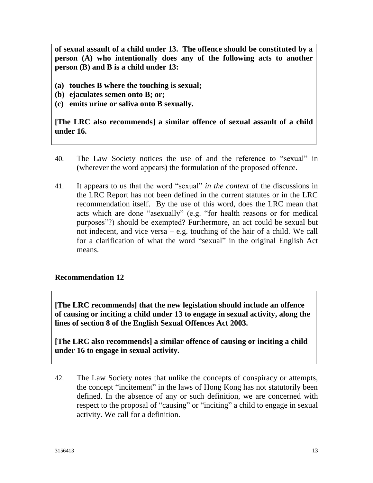**of sexual assault of a child under 13. The offence should be constituted by a person (A) who intentionally does any of the following acts to another person (B) and B is a child under 13:**

- **(a) touches B where the touching is sexual;**
- **(b) ejaculates semen onto B; or;**
- **(c) emits urine or saliva onto B sexually.**

**[The LRC also recommends] a similar offence of sexual assault of a child under 16.**

- 40. The Law Society notices the use of and the reference to "sexual" in (wherever the word appears) the formulation of the proposed offence.
- 41. It appears to us that the word "sexual" *in the context* of the discussions in the LRC Report has not been defined in the current statutes or in the LRC recommendation itself. By the use of this word, does the LRC mean that acts which are done "asexually" (e.g. "for health reasons or for medical purposes"?) should be exempted? Furthermore, an act could be sexual but not indecent, and vice versa – e.g. touching of the hair of a child. We call for a clarification of what the word "sexual" in the original English Act means.

#### **Recommendation 12**

**[The LRC recommends] that the new legislation should include an offence of causing or inciting a child under 13 to engage in sexual activity, along the lines of section 8 of the English Sexual Offences Act 2003.**

**[The LRC also recommends] a similar offence of causing or inciting a child under 16 to engage in sexual activity.**

42. The Law Society notes that unlike the concepts of conspiracy or attempts, the concept "incitement" in the laws of Hong Kong has not statutorily been defined. In the absence of any or such definition, we are concerned with respect to the proposal of "causing" or "inciting" a child to engage in sexual activity. We call for a definition.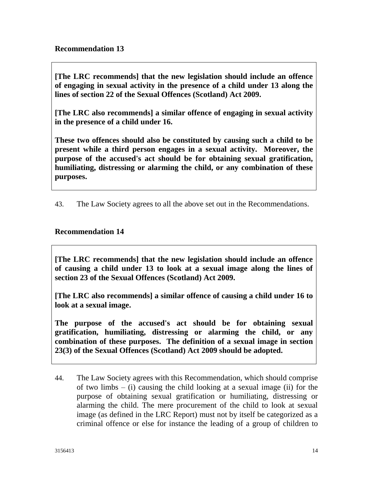**[The LRC recommends] that the new legislation should include an offence of engaging in sexual activity in the presence of a child under 13 along the lines of section 22 of the Sexual Offences (Scotland) Act 2009.**

**[The LRC also recommends] a similar offence of engaging in sexual activity in the presence of a child under 16.**

**These two offences should also be constituted by causing such a child to be present while a third person engages in a sexual activity. Moreover, the purpose of the accused's act should be for obtaining sexual gratification, humiliating, distressing or alarming the child, or any combination of these purposes.**

43. The Law Society agrees to all the above set out in the Recommendations.

# **Recommendation 14**

**[The LRC recommends] that the new legislation should include an offence of causing a child under 13 to look at a sexual image along the lines of section 23 of the Sexual Offences (Scotland) Act 2009.**

**[The LRC also recommends] a similar offence of causing a child under 16 to look at a sexual image.**

**The purpose of the accused's act should be for obtaining sexual gratification, humiliating, distressing or alarming the child, or any combination of these purposes. The definition of a sexual image in section 23(3) of the Sexual Offences (Scotland) Act 2009 should be adopted.**

44. The Law Society agrees with this Recommendation, which should comprise of two limbs  $-$  (i) causing the child looking at a sexual image (ii) for the purpose of obtaining sexual gratification or humiliating, distressing or alarming the child. The mere procurement of the child to look at sexual image (as defined in the LRC Report) must not by itself be categorized as a criminal offence or else for instance the leading of a group of children to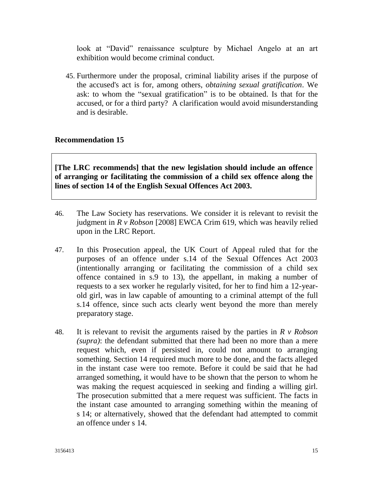look at "David" renaissance sculpture by Michael Angelo at an art exhibition would become criminal conduct.

45. Furthermore under the proposal, criminal liability arises if the purpose of the accused's act is for, among others, *obtaining sexual gratification*. We ask: to whom the "sexual gratification" is to be obtained. Is that for the accused, or for a third party? A clarification would avoid misunderstanding and is desirable.

# **Recommendation 15**

**[The LRC recommends] that the new legislation should include an offence of arranging or facilitating the commission of a child sex offence along the lines of section 14 of the English Sexual Offences Act 2003.**

- 46. The Law Society has reservations. We consider it is relevant to revisit the judgment in *R v Robson* [2008] EWCA Crim 619, which was heavily relied upon in the LRC Report.
- 47. In this Prosecution appeal, the UK Court of Appeal ruled that for the purposes of an offence under s.14 of the Sexual Offences Act 2003 (intentionally arranging or facilitating the commission of a child sex offence contained in s.9 to 13), the appellant, in making a number of requests to a sex worker he regularly visited, for her to find him a 12-yearold girl, was in law capable of amounting to a criminal attempt of the full s.14 offence, since such acts clearly went beyond the more than merely preparatory stage.
- 48. It is relevant to revisit the arguments raised by the parties in *R v Robson (supra)*: the defendant submitted that there had been no more than a mere request which, even if persisted in, could not amount to arranging something. Section 14 required much more to be done, and the facts alleged in the instant case were too remote. Before it could be said that he had arranged something, it would have to be shown that the person to whom he was making the request acquiesced in seeking and finding a willing girl. The prosecution submitted that a mere request was sufficient. The facts in the instant case amounted to arranging something within the meaning of s 14; or alternatively, showed that the defendant had attempted to commit an offence under s 14.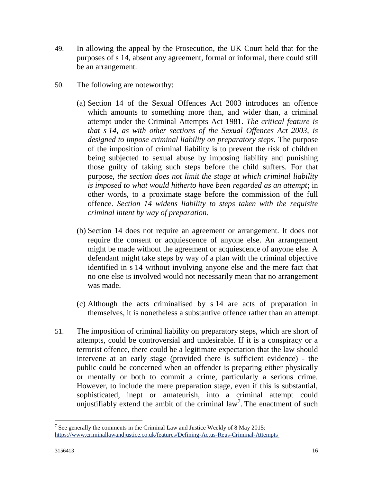- 49. In allowing the appeal by the Prosecution, the UK Court held that for the purposes of s 14, absent any agreement, formal or informal, there could still be an arrangement.
- 50. The following are noteworthy:
	- (a) [Section 14](https://www.lexisnexis.com/in/legal/search/enhRunRemoteLink.do?A=0.918817500939385&service=citation&langcountry=GB&backKey=20_T25169426152&linkInfo=F%23GB%23UK_ACTS%23num%252003_42a%25sect%2514%25section%2514%25&ersKey=23_T25169390037) of the Sexual Offences Act 2003 introduces an offence which amounts to something more than, and wider than, a criminal attempt under the [Criminal Attempts Act 1981.](https://www.lexisnexis.com/in/legal/search/enhRunRemoteLink.do?A=0.4030333690773126&service=citation&langcountry=GB&backKey=20_T25169426152&linkInfo=F%23GB%23UK_ACTS%23num%251981_47a_Title%25&ersKey=23_T25169390037) *The critical feature is that s 14, as with other sections of the [Sexual Offences Act 2003, i](https://www.lexisnexis.com/in/legal/search/enhRunRemoteLink.do?A=0.9440289874698239&service=citation&langcountry=GB&backKey=20_T25169426152&linkInfo=F%23GB%23UK_ACTS%23num%252003_42a_Title%25&ersKey=23_T25169390037)s designed to impose criminal liability on preparatory steps.* The purpose of the imposition of criminal liability is to prevent the risk of children being subjected to sexual abuse by imposing liability and punishing those guilty of taking such steps before the child suffers. For that purpose, *the section does not limit the stage at which criminal liability is imposed to what would hitherto have been regarded as an attempt*; in other words, to a proximate stage before the commission of the full offence. *Section 14 widens liability to steps taken with the requisite criminal intent by way of preparation*.
	- (b) Section 14 does not require an agreement or arrangement. It does not require the consent or acquiescence of anyone else. An arrangement might be made without the agreement or acquiescence of anyone else. A defendant might take steps by way of a plan with the criminal objective identified in s 14 without involving anyone else and the mere fact that no one else is involved would not necessarily mean that no arrangement was made.
	- (c) Although the acts criminalised by s 14 are acts of preparation in themselves, it is nonetheless a substantive offence rather than an attempt.
- 51. The imposition of criminal liability on preparatory steps, which are short of attempts, could be controversial and undesirable. If it is a conspiracy or a terrorist offence, there could be a legitimate expectation that the law should intervene at an early stage (provided there is sufficient evidence) - the public could be concerned when an offender is preparing either physically or mentally or both to commit a crime, particularly a serious crime. However, to include the mere preparation stage, even if this is substantial, sophisticated, inept or amateurish, into a criminal attempt could unjustifiably extend the ambit of the criminal  $law<sup>7</sup>$ . The enactment of such

 $\overline{a}$ 

<sup>&</sup>lt;sup>7</sup> See generally the comments in the Criminal Law and Justice Weekly of 8 May 2015: <https://www.criminallawandjustice.co.uk/features/Defining-Actus-Reus-Criminal-Attempts>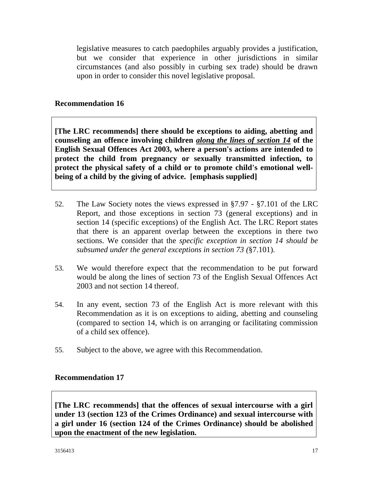legislative measures to catch paedophiles arguably provides a justification, but we consider that experience in other jurisdictions in similar circumstances (and also possibly in curbing sex trade) should be drawn upon in order to consider this novel legislative proposal.

#### **Recommendation 16**

**[The LRC recommends] there should be exceptions to aiding, abetting and counseling an offence involving children** *along the lines of section 14* **of the English Sexual Offences Act 2003, where a person's actions are intended to protect the child from pregnancy or sexually transmitted infection, to protect the physical safety of a child or to promote child's emotional wellbeing of a child by the giving of advice. [emphasis supplied]**

- 52. The Law Society notes the views expressed in §7.97 §7.101 of the LRC Report, and those exceptions in section 73 (general exceptions) and in section 14 (specific exceptions) of the English Act. The LRC Report states that there is an apparent overlap between the exceptions in there two sections. We consider that the *specific exception in section 14 should be subsumed under the general exceptions in section 73 (*§7.101).
- 53. We would therefore expect that the recommendation to be put forward would be along the lines of section 73 of the English Sexual Offences Act 2003 and not section 14 thereof.
- 54. In any event, section 73 of the English Act is more relevant with this Recommendation as it is on exceptions to aiding, abetting and counseling (compared to section 14, which is on arranging or facilitating commission of a child sex offence).
- 55. Subject to the above, we agree with this Recommendation.

#### **Recommendation 17**

**[The LRC recommends] that the offences of sexual intercourse with a girl under 13 (section 123 of the Crimes Ordinance) and sexual intercourse with a girl under 16 (section 124 of the Crimes Ordinance) should be abolished upon the enactment of the new legislation.**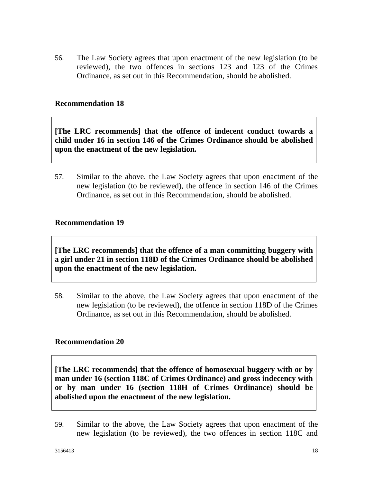56. The Law Society agrees that upon enactment of the new legislation (to be reviewed), the two offences in sections 123 and 123 of the Crimes Ordinance, as set out in this Recommendation, should be abolished.

#### **Recommendation 18**

**[The LRC recommends] that the offence of indecent conduct towards a child under 16 in section 146 of the Crimes Ordinance should be abolished upon the enactment of the new legislation.**

57. Similar to the above, the Law Society agrees that upon enactment of the new legislation (to be reviewed), the offence in section 146 of the Crimes Ordinance, as set out in this Recommendation, should be abolished.

#### **Recommendation 19**

**[The LRC recommends] that the offence of a man committing buggery with a girl under 21 in section 118D of the Crimes Ordinance should be abolished upon the enactment of the new legislation.**

58. Similar to the above, the Law Society agrees that upon enactment of the new legislation (to be reviewed), the offence in section 118D of the Crimes Ordinance, as set out in this Recommendation, should be abolished.

#### **Recommendation 20**

**[The LRC recommends] that the offence of homosexual buggery with or by man under 16 (section 118C of Crimes Ordinance) and gross indecency with or by man under 16 (section 118H of Crimes Ordinance) should be abolished upon the enactment of the new legislation.**

59. Similar to the above, the Law Society agrees that upon enactment of the new legislation (to be reviewed), the two offences in section 118C and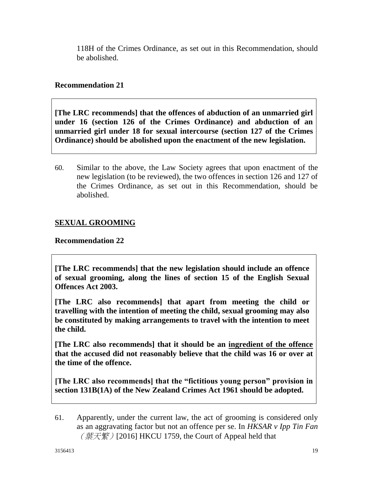118H of the Crimes Ordinance, as set out in this Recommendation, should be abolished.

# **Recommendation 21**

**[The LRC recommends] that the offences of abduction of an unmarried girl under 16 (section 126 of the Crimes Ordinance) and abduction of an unmarried girl under 18 for sexual intercourse (section 127 of the Crimes Ordinance) should be abolished upon the enactment of the new legislation.**

60. Similar to the above, the Law Society agrees that upon enactment of the new legislation (to be reviewed), the two offences in section 126 and 127 of the Crimes Ordinance, as set out in this Recommendation, should be abolished.

# **SEXUAL GROOMING**

# **Recommendation 22**

**[The LRC recommends] that the new legislation should include an offence of sexual grooming, along the lines of section 15 of the English Sexual Offences Act 2003.**

**[The LRC also recommends] that apart from meeting the child or travelling with the intention of meeting the child, sexual grooming may also be constituted by making arrangements to travel with the intention to meet the child.**

**[The LRC also recommends] that it should be an ingredient of the offence that the accused did not reasonably believe that the child was 16 or over at the time of the offence.**

**[The LRC also recommends] that the "fictitious young person" provision in section 131B(1A) of the New Zealand Crimes Act 1961 should be adopted.**

61. Apparently, under the current law, the act of grooming is considered only as an aggravating factor but not an offence per se. In *HKSAR v Ipp Tin Fan*  $(\text{~~葉~~天繁)[2016] HKCU 1759, the Court of Appeal held that$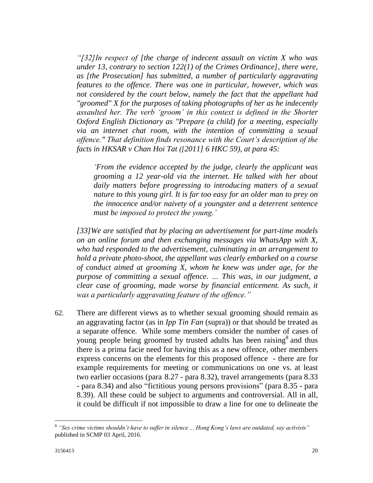*"[32]In respect of [the charge of indecent assault on victim X who was under 13, contrary to section 122(1) of the Crimes Ordinance], there were, as [the Prosecution] has submitted, a number of particularly aggravating features to the offence. There was one in particular, however, which was not considered by the court below, namely the fact that the appellant had "groomed" X for the purposes of taking photographs of her as he indecently assaulted her. The verb 'groom' in this context is defined in the Shorter Oxford English Dictionary as "Prepare (a child) for a meeting, especially via an internet chat room, with the intention of committing a sexual offence." That definition finds resonance with the Court's description of the facts in HKSAR v Chan Hoi Tat ([2011] 6 HKC 59), at para 45:*

*'From the evidence accepted by the judge, clearly the applicant was grooming a 12 year-old via the internet. He talked with her about daily matters before progressing to introducing matters of a sexual nature to this young girl. It is far too easy for an older man to prey on the innocence and/or naivety of a youngster and a deterrent sentence must be imposed to protect the young.'*

*[33]We are satisfied that by placing an advertisement for part-time models on an online forum and then exchanging messages via WhatsApp with X, who had responded to the advertisement, culminating in an arrangement to hold a private photo-shoot, the appellant was clearly embarked on a course of conduct aimed at grooming X, whom he knew was under age, for the purpose of committing a sexual offence. … This was, in our judgment, a clear case of grooming, made worse by financial enticement. As such, it was a particularly aggravating feature of the offence."*

62. There are different views as to whether sexual grooming should remain as an aggravating factor (as in *Ipp Tin Fan* (supra)) or that should be treated as a separate offence. While some members consider the number of cases of young people being groomed by trusted adults has been raising<sup>8</sup> and thus there is a prima facie need for having this as a new offence, other members express concerns on the elements for this proposed offence - there are for example requirements for meeting or communications on one vs. at least two earlier occasions (para 8.27 - para 8.32), travel arrangements (para 8.33 - para 8.34) and also "fictitious young persons provisions" (para 8.35 - para 8.39). All these could be subject to arguments and controversial. All in all, it could be difficult if not impossible to draw a line for one to delineate the

 $\overline{a}$ 

<sup>8</sup> *"Sex crime victims shouldn't have to suffer in silence ... Hong Kong's laws are outdated, say activists"*  published in SCMP 03 April, 2016.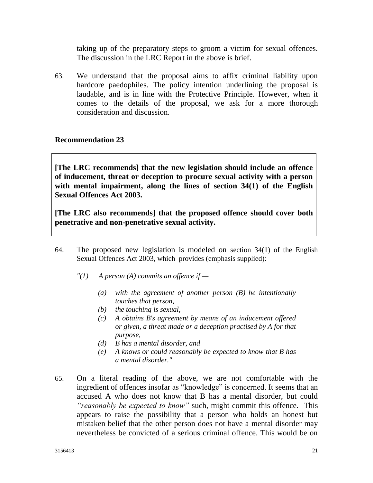taking up of the preparatory steps to groom a victim for sexual offences. The discussion in the LRC Report in the above is brief.

63. We understand that the proposal aims to affix criminal liability upon hardcore paedophiles. The policy intention underlining the proposal is laudable, and is in line with the Protective Principle. However, when it comes to the details of the proposal, we ask for a more thorough consideration and discussion.

# **Recommendation 23**

**[The LRC recommends] that the new legislation should include an offence of inducement, threat or deception to procure sexual activity with a person with mental impairment, along the lines of section 34(1) of the English Sexual Offences Act 2003.**

**[The LRC also recommends] that the proposed offence should cover both penetrative and non-penetrative sexual activity.**

- 64. The proposed new legislation is modeled on section 34(1) of the English Sexual Offences Act 2003, which provides (emphasis supplied):
	- *"(1) A person (A) commits an offence if —*
		- *(a) with the agreement of another person (B) he intentionally touches that person,*
		- *(b) the touching is sexual,*
		- *(c) A obtains B's agreement by means of an inducement offered or given, a threat made or a deception practised by A for that purpose,*
		- *(d) B has a mental disorder, and*
		- *(e) A knows or could reasonably be expected to know that B has a mental disorder."*
- 65. On a literal reading of the above, we are not comfortable with the ingredient of offences insofar as "knowledge" is concerned. It seems that an accused A who does not know that B has a mental disorder, but could *"reasonably be expected to know"* such, might commit this offence. This appears to raise the possibility that a person who holds an honest but mistaken belief that the other person does not have a mental disorder may nevertheless be convicted of a serious criminal offence. This would be on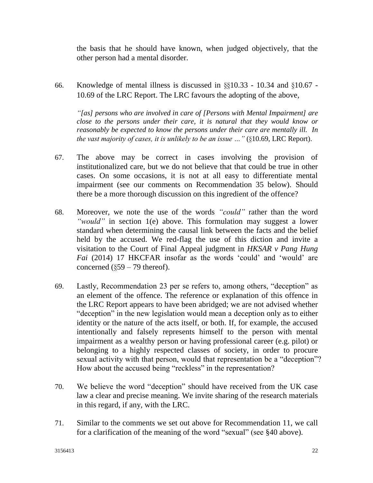the basis that he should have known, when judged objectively, that the other person had a mental disorder.

66. Knowledge of mental illness is discussed in §§10.33 - 10.34 and §10.67 - 10.69 of the LRC Report. The LRC favours the adopting of the above,

*"[as] persons who are involved in care of [Persons with Mental Impairment] are close to the persons under their care, it is natural that they would know or reasonably be expected to know the persons under their care are mentally ill. In the vast majority of cases, it is unlikely to be an issue …"* (§10.69, LRC Report).

- 67. The above may be correct in cases involving the provision of institutionalized care, but we do not believe that that could be true in other cases. On some occasions, it is not at all easy to differentiate mental impairment (see our comments on Recommendation 35 below). Should there be a more thorough discussion on this ingredient of the offence?
- 68. Moreover, we note the use of the words *"could"* rather than the word *"would"* in section 1(e) above. This formulation may suggest a lower standard when determining the causal link between the facts and the belief held by the accused. We red-flag the use of this diction and invite a visitation to the Court of Final Appeal judgment in *HKSAR v Pang Hung Fai* (2014) 17 HKCFAR insofar as the words 'could' and 'would' are concerned  $(\S 59 - 79$  thereof).
- 69. Lastly, Recommendation 23 per se refers to, among others, "deception" as an element of the offence. The reference or explanation of this offence in the LRC Report appears to have been abridged; we are not advised whether "deception" in the new legislation would mean a deception only as to either identity or the nature of the acts itself, or both. If, for example, the accused intentionally and falsely represents himself to the person with mental impairment as a wealthy person or having professional career (e.g. pilot) or belonging to a highly respected classes of society, in order to procure sexual activity with that person, would that representation be a "deception"? How about the accused being "reckless" in the representation?
- 70. We believe the word "deception" should have received from the UK case law a clear and precise meaning. We invite sharing of the research materials in this regard, if any, with the LRC.
- 71. Similar to the comments we set out above for Recommendation 11, we call for a clarification of the meaning of the word "sexual" (see §40 above).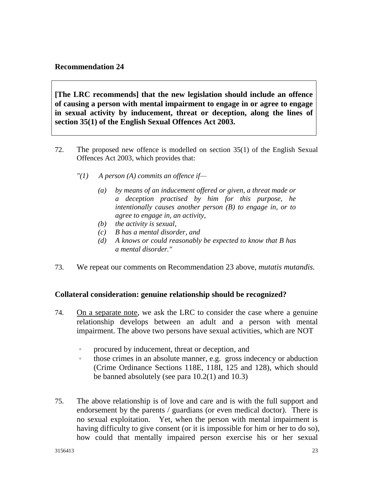#### **Recommendation 24**

**[The LRC recommends] that the new legislation should include an offence of causing a person with mental impairment to engage in or agree to engage in sexual activity by inducement, threat or deception, along the lines of section 35(1) of the English Sexual Offences Act 2003.**

- 72. The proposed new offence is modelled on section 35(1) of the English Sexual Offences Act 2003, which provides that:
	- *"(1) A person (A) commits an offence if—*
		- *(a) by means of an inducement offered or given, a threat made or a deception practised by him for this purpose, he intentionally causes another person (B) to engage in, or to agree to engage in, an activity,*
		- *(b) the activity is sexual,*
		- *(c) B has a mental disorder, and*
		- *(d) A knows or could reasonably be expected to know that B has a mental disorder."*
- 73. We repeat our comments on Recommendation 23 above, *mutatis mutandis.*

#### **Collateral consideration: genuine relationship should be recognized?**

- 74. On a separate note, we ask the LRC to consider the case where a genuine relationship develops between an adult and a person with mental impairment. The above two persons have sexual activities, which are NOT
	- 。 procured by inducement, threat or deception, and
	- 。 those crimes in an absolute manner, e.g. gross indecency or abduction (Crime Ordinance Sections 118E, 118I, 125 and 128), which should be banned absolutely (see para 10.2(1) and 10.3)
- 75. The above relationship is of love and care and is with the full support and endorsement by the parents / guardians (or even medical doctor). There is no sexual exploitation. Yet, when the person with mental impairment is having difficulty to give consent (or it is impossible for him or her to do so), how could that mentally impaired person exercise his or her sexual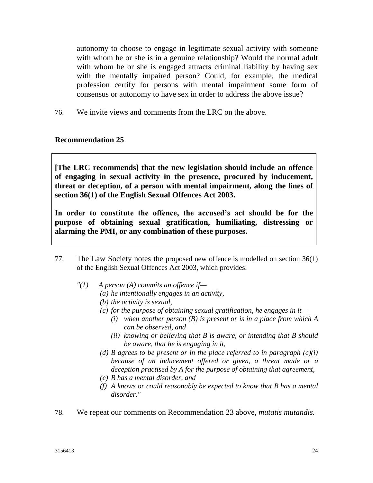autonomy to choose to engage in legitimate sexual activity with someone with whom he or she is in a genuine relationship? Would the normal adult with whom he or she is engaged attracts criminal liability by having sex with the mentally impaired person? Could, for example, the medical profession certify for persons with mental impairment some form of consensus or autonomy to have sex in order to address the above issue?

76. We invite views and comments from the LRC on the above.

#### **Recommendation 25**

**[The LRC recommends] that the new legislation should include an offence of engaging in sexual activity in the presence, procured by inducement, threat or deception, of a person with mental impairment, along the lines of section 36(1) of the English Sexual Offences Act 2003.**

**In order to constitute the offence, the accused's act should be for the purpose of obtaining sexual gratification, humiliating, distressing or alarming the PMI, or any combination of these purposes.**

- 77. The Law Society notes the proposed new offence is modelled on section 36(1) of the English Sexual Offences Act 2003, which provides:
	- *"(1) A person (A) commits an offence if—*
		- *(a) he intentionally engages in an activity,*
		- *(b) the activity is sexual,*
		- *(c) for the purpose of obtaining sexual gratification, he engages in it—*
			- *(i) when another person (B) is present or is in a place from which A can be observed, and*
			- *(ii) knowing or believing that B is aware, or intending that B should be aware, that he is engaging in it,*
		- *(d) B* agrees to be present or in the place referred to in paragraph  $(c)(i)$ *because of an inducement offered or given, a threat made or a deception practised by A for the purpose of obtaining that agreement,*
		- *(e) B has a mental disorder, and*
		- *(f) A knows or could reasonably be expected to know that B has a mental disorder."*
- 78. We repeat our comments on Recommendation 23 above, *mutatis mutandis.*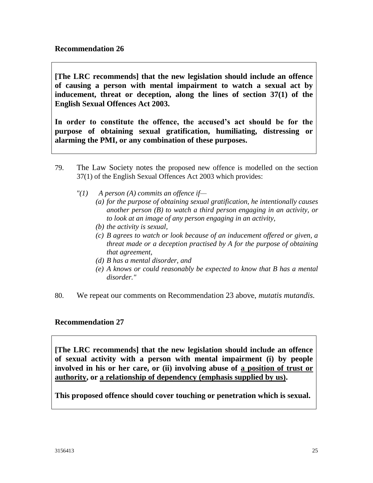**[The LRC recommends] that the new legislation should include an offence of causing a person with mental impairment to watch a sexual act by inducement, threat or deception, along the lines of section 37(1) of the English Sexual Offences Act 2003.**

**In order to constitute the offence, the accused's act should be for the purpose of obtaining sexual gratification, humiliating, distressing or alarming the PMI, or any combination of these purposes.**

- 79. The Law Society notes the proposed new offence is modelled on the section 37(1) of the English Sexual Offences Act 2003 which provides:
	- *"(1) A person (A) commits an offence if—*
		- *(a) for the purpose of obtaining sexual gratification, he intentionally causes another person (B) to watch a third person engaging in an activity, or to look at an image of any person engaging in an activity,*
		- *(b) the activity is sexual,*
		- *(c) B agrees to watch or look because of an inducement offered or given, a threat made or a deception practised by A for the purpose of obtaining that agreement,*
		- *(d) B has a mental disorder, and*
		- *(e) A knows or could reasonably be expected to know that B has a mental disorder."*
- 80. We repeat our comments on Recommendation 23 above, *mutatis mutandis.*

#### **Recommendation 27**

**[The LRC recommends] that the new legislation should include an offence of sexual activity with a person with mental impairment (i) by people involved in his or her care, or (ii) involving abuse of a position of trust or authority, or a relationship of dependency (emphasis supplied by us).**

**This proposed offence should cover touching or penetration which is sexual.**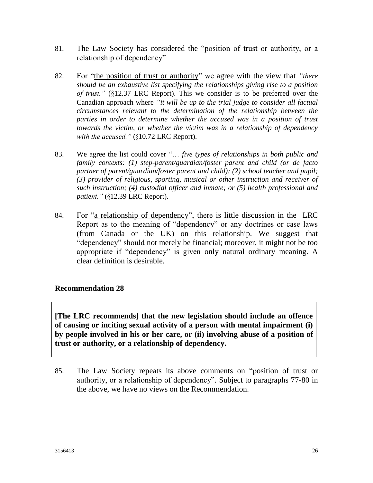- 81. The Law Society has considered the "position of trust or authority, or a relationship of dependency"
- 82. For "the position of trust or authority" we agree with the view that *"there should be an exhaustive list specifying the relationships giving rise to a position of trust."* (§12.37 LRC Report). This we consider is to be preferred over the Canadian approach where *"it will be up to the trial judge to consider all factual circumstances relevant to the determination of the relationship between the parties in order to determine whether the accused was in a position of trust towards the victim, or whether the victim was in a relationship of dependency with the accused."* (§10.72 LRC Report).
- 83. We agree the list could cover "… *five types of relationships in both public and family contexts: (1) step-parent/guardian/foster parent and child (or de facto [partner](http://www.austlii.edu.au/au/legis/nsw/consol_act/ca190082/s154e.html#part) of parent/guardian/foster parent and child); (2) school teacher and pupil; (3) provider of religious, sporting, musical or other instruction and receiver of such instruction; (4) custodial officer and inmate; or (5) health professional and patient."* (§12.39 LRC Report)*.*
- 84. For "a relationship of dependency", there is little discussion in the LRC Report as to the meaning of "dependency" or any doctrines or case laws (from Canada or the UK) on this relationship. We suggest that "dependency" should not merely be financial; moreover, it might not be too appropriate if "dependency" is given only natural ordinary meaning. A clear definition is desirable.

# **Recommendation 28**

**[The LRC recommends] that the new legislation should include an offence of causing or inciting sexual activity of a person with mental impairment (i) by people involved in his or her care, or (ii) involving abuse of a position of trust or authority, or a relationship of dependency.**

85. The Law Society repeats its above comments on "position of trust or authority, or a relationship of dependency". Subject to paragraphs 77-80 in the above, we have no views on the Recommendation.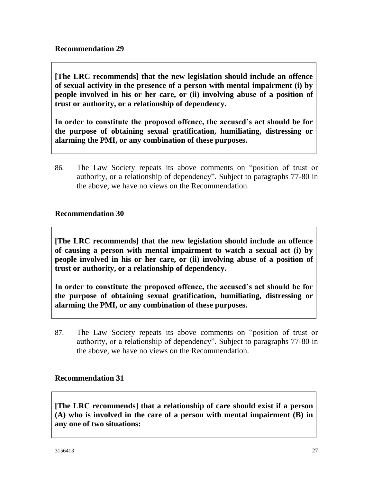**[The LRC recommends] that the new legislation should include an offence of sexual activity in the presence of a person with mental impairment (i) by people involved in his or her care, or (ii) involving abuse of a position of trust or authority, or a relationship of dependency.**

**In order to constitute the proposed offence, the accused's act should be for the purpose of obtaining sexual gratification, humiliating, distressing or alarming the PMI, or any combination of these purposes.**

86. The Law Society repeats its above comments on "position of trust or authority, or a relationship of dependency". Subject to paragraphs 77-80 in the above, we have no views on the Recommendation.

# **Recommendation 30**

**[The LRC recommends] that the new legislation should include an offence of causing a person with mental impairment to watch a sexual act (i) by people involved in his or her care, or (ii) involving abuse of a position of trust or authority, or a relationship of dependency.**

**In order to constitute the proposed offence, the accused's act should be for the purpose of obtaining sexual gratification, humiliating, distressing or alarming the PMI, or any combination of these purposes.**

87. The Law Society repeats its above comments on "position of trust or authority, or a relationship of dependency". Subject to paragraphs 77-80 in the above, we have no views on the Recommendation.

# **Recommendation 31**

**[The LRC recommends] that a relationship of care should exist if a person (A) who is involved in the care of a person with mental impairment (B) in any one of two situations:**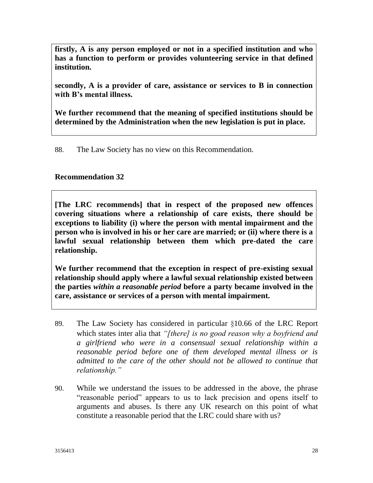**firstly, A is any person employed or not in a specified institution and who has a function to perform or provides volunteering service in that defined institution.**

**secondly, A is a provider of care, assistance or services to B in connection with B's mental illness.**

**We further recommend that the meaning of specified institutions should be determined by the Administration when the new legislation is put in place.**

88. The Law Society has no view on this Recommendation.

#### **Recommendation 32**

**[The LRC recommends] that in respect of the proposed new offences covering situations where a relationship of care exists, there should be exceptions to liability (i) where the person with mental impairment and the person who is involved in his or her care are married; or (ii) where there is a lawful sexual relationship between them which pre-dated the care relationship.**

**We further recommend that the exception in respect of pre-existing sexual relationship should apply where a lawful sexual relationship existed between the parties** *within a reasonable period* **before a party became involved in the care, assistance or services of a person with mental impairment.**

- 89. The Law Society has considered in particular §10.66 of the LRC Report which states inter alia that *"[there] is no good reason why a boyfriend and a girlfriend who were in a consensual sexual relationship within a reasonable period before one of them developed mental illness or is admitted to the care of the other should not be allowed to continue that relationship."*
- 90. While we understand the issues to be addressed in the above, the phrase "reasonable period" appears to us to lack precision and opens itself to arguments and abuses. Is there any UK research on this point of what constitute a reasonable period that the LRC could share with us?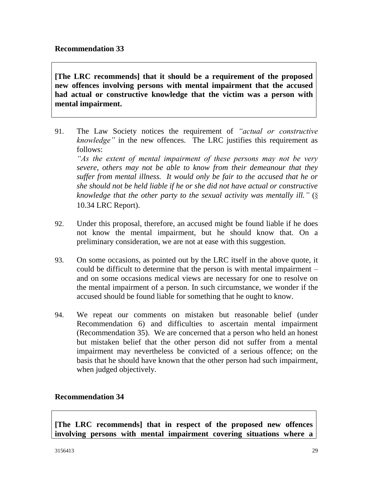**[The LRC recommends] that it should be a requirement of the proposed new offences involving persons with mental impairment that the accused had actual or constructive knowledge that the victim was a person with mental impairment.**

- 91. The Law Society notices the requirement of *"actual or constructive knowledge"* in the new offences. The LRC justifies this requirement as follows: *"As the extent of mental impairment of these persons may not be very severe, others may not be able to know from their demeanour that they suffer from mental illness. It would only be fair to the accused that he or she should not be held liable if he or she did not have actual or constructive knowledge that the other party to the sexual activity was mentally ill."* (§
	- 10.34 LRC Report).
- 92. Under this proposal, therefore, an accused might be found liable if he does not know the mental impairment, but he should know that. On a preliminary consideration, we are not at ease with this suggestion.
- 93. On some occasions, as pointed out by the LRC itself in the above quote, it could be difficult to determine that the person is with mental impairment – and on some occasions medical views are necessary for one to resolve on the mental impairment of a person. In such circumstance, we wonder if the accused should be found liable for something that he ought to know.
- 94. We repeat our comments on mistaken but reasonable belief (under Recommendation 6) and difficulties to ascertain mental impairment (Recommendation 35). We are concerned that a person who held an honest but mistaken belief that the other person did not suffer from a mental impairment may nevertheless be convicted of a serious offence; on the basis that he should have known that the other person had such impairment, when judged objectively.

# **Recommendation 34**

**[The LRC recommends] that in respect of the proposed new offences involving persons with mental impairment covering situations where a**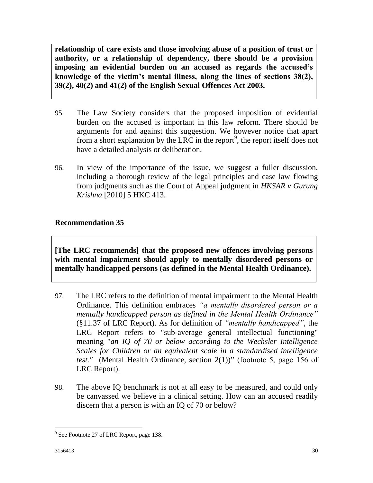**relationship of care exists and those involving abuse of a position of trust or authority, or a relationship of dependency, there should be a provision imposing an evidential burden on an accused as regards the accused's knowledge of the victim's mental illness, along the lines of sections 38(2), 39(2), 40(2) and 41(2) of the English Sexual Offences Act 2003.**

- 95. The Law Society considers that the proposed imposition of evidential burden on the accused is important in this law reform. There should be arguments for and against this suggestion. We however notice that apart from a short explanation by the LRC in the report<sup>9</sup>, the report itself does not have a detailed analysis or deliberation.
- 96. In view of the importance of the issue, we suggest a fuller discussion, including a thorough review of the legal principles and case law flowing from judgments such as the Court of Appeal judgment in *HKSAR v Gurung Krishna* [2010] 5 HKC 413.

# **Recommendation 35**

**[The LRC recommends] that the proposed new offences involving persons with mental impairment should apply to mentally disordered persons or mentally handicapped persons (as defined in the Mental Health Ordinance).**

- 97. The LRC refers to the definition of mental impairment to the Mental Health Ordinance. This definition embraces *"a mentally disordered person or a mentally handicapped person as defined in the Mental Health Ordinance"* (§11.37 of LRC Report). As for definition of *"mentally handicapped"*, the LRC Report refers to "sub-average general intellectual functioning" meaning "*an IQ of 70 or below according to the Wechsler Intelligence Scales for Children or an equivalent scale in a standardised intelligence test."* (Mental Health Ordinance, section 2(1))" (footnote 5, page 156 of LRC Report).
- 98. The above IQ benchmark is not at all easy to be measured, and could only be canvassed we believe in a clinical setting. How can an accused readily discern that a person is with an IQ of 70 or below?

 $\overline{a}$ <sup>9</sup> See Footnote 27 of LRC Report, page 138.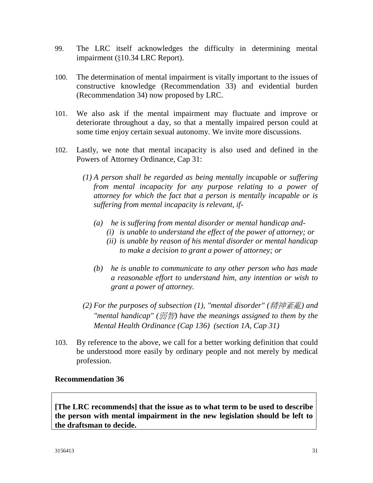- 99. The LRC itself acknowledges the difficulty in determining mental impairment (§10.34 LRC Report).
- 100. The determination of mental impairment is vitally important to the issues of constructive knowledge (Recommendation 33) and evidential burden (Recommendation 34) now proposed by LRC.
- 101. We also ask if the mental impairment may fluctuate and improve or deteriorate throughout a day, so that a mentally impaired person could at some time enjoy certain sexual autonomy. We invite more discussions.
- 102. Lastly, we note that mental incapacity is also used and defined in the Powers of Attorney Ordinance, Cap 31:
	- *(1) A person shall be regarded as being mentally incapable or suffering from mental incapacity for any purpose relating to a power of attorney for which the fact that a person is mentally incapable or is suffering from mental incapacity is relevant, if-*
		- *(a) he is suffering from mental disorder or mental handicap and-*
			- *(i) is unable to understand the effect of the power of attorney; or*
			- *(ii) is unable by reason of his mental disorder or mental handicap to make a decision to grant a power of attorney; or*
		- *(b) he is unable to communicate to any other person who has made a reasonable effort to understand him, any intention or wish to grant a power of attorney.*
	- *(2) For the purposes of subsection (1), "mental disorder" (*精神紊亂*) and "mental handicap" (*弱智*) have the meanings assigned to them by the Mental Health Ordinance (Cap 136) (section 1A, Cap 31)*
- 103. By reference to the above, we call for a better working definition that could be understood more easily by ordinary people and not merely by medical profession.

# **Recommendation 36**

**[The LRC recommends] that the issue as to what term to be used to describe the person with mental impairment in the new legislation should be left to the draftsman to decide.**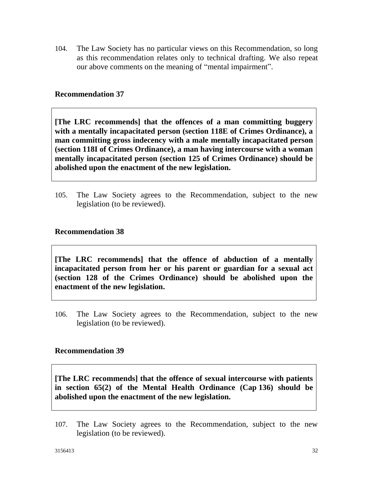104. The Law Society has no particular views on this Recommendation, so long as this recommendation relates only to technical drafting. We also repeat our above comments on the meaning of "mental impairment".

#### **Recommendation 37**

**[The LRC recommends] that the offences of a man committing buggery with a mentally incapacitated person (section 118E of Crimes Ordinance), a man committing gross indecency with a male mentally incapacitated person (section 118I of Crimes Ordinance), a man having intercourse with a woman mentally incapacitated person (section 125 of Crimes Ordinance) should be abolished upon the enactment of the new legislation.**

105. The Law Society agrees to the Recommendation, subject to the new legislation (to be reviewed).

#### **Recommendation 38**

**[The LRC recommends] that the offence of abduction of a mentally incapacitated person from her or his parent or guardian for a sexual act (section 128 of the Crimes Ordinance) should be abolished upon the enactment of the new legislation.**

106. The Law Society agrees to the Recommendation, subject to the new legislation (to be reviewed).

#### **Recommendation 39**

**[The LRC recommends] that the offence of sexual intercourse with patients in section 65(2) of the Mental Health Ordinance (Cap 136) should be abolished upon the enactment of the new legislation.**

107. The Law Society agrees to the Recommendation, subject to the new legislation (to be reviewed).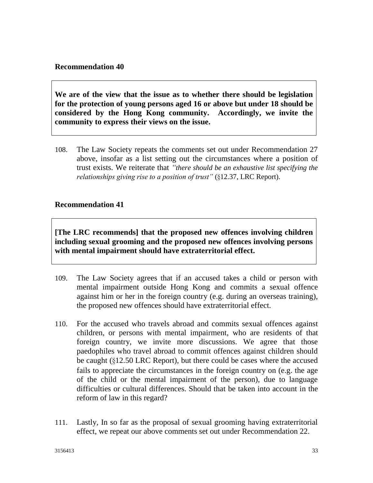#### **Recommendation 40**

**We are of the view that the issue as to whether there should be legislation for the protection of young persons aged 16 or above but under 18 should be considered by the Hong Kong community. Accordingly, we invite the community to express their views on the issue.**

108. The Law Society repeats the comments set out under Recommendation 27 above, insofar as a list setting out the circumstances where a position of trust exists. We reiterate that *"there should be an exhaustive list specifying the relationships giving rise to a position of trust"* (§12.37, LRC Report).

#### **Recommendation 41**

**[The LRC recommends] that the proposed new offences involving children including sexual grooming and the proposed new offences involving persons with mental impairment should have extraterritorial effect.**

- 109. The Law Society agrees that if an accused takes a child or person with mental impairment outside Hong Kong and commits a sexual offence against him or her in the foreign country (e.g. during an overseas training), the proposed new offences should have extraterritorial effect.
- 110. For the accused who travels abroad and commits sexual offences against children, or persons with mental impairment, who are residents of that foreign country, we invite more discussions. We agree that those paedophiles who travel abroad to commit offences against children should be caught (§12.50 LRC Report), but there could be cases where the accused fails to appreciate the circumstances in the foreign country on (e.g. the age of the child or the mental impairment of the person), due to language difficulties or cultural differences. Should that be taken into account in the reform of law in this regard?
- 111. Lastly, In so far as the proposal of sexual grooming having extraterritorial effect, we repeat our above comments set out under Recommendation 22.